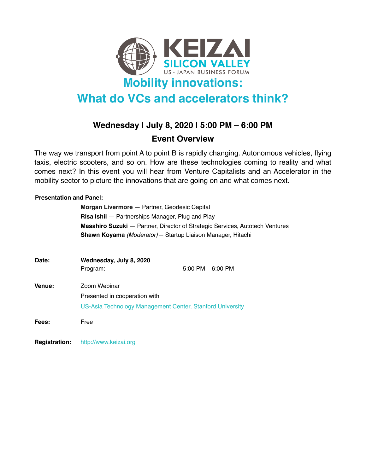

# **What do VCs and accelerators think?**

## **Wednesday | July 8, 2020 | 5:00 PM – 6:00 PM**

### **Event Overview**

The way we transport from point A to point B is rapidly changing. Autonomous vehicles, flying taxis, electric scooters, and so on. How are these technologies coming to reality and what comes next? In this event you will hear from Venture Capitalists and an Accelerator in the mobility sector to picture the innovations that are going on and what comes next.

### **Presentation and Panel:**

| Morgan Livermore - Partner, Geodesic Capital                                        |
|-------------------------------------------------------------------------------------|
| <b>Risa Ishii</b> – Partnerships Manager, Plug and Play                             |
| <b>Masahiro Suzuki</b> — Partner, Director of Strategic Services, Autotech Ventures |
| Shawn Koyama (Moderator) - Startup Liaison Manager, Hitachi                         |
|                                                                                     |

| Date:  | Wednesday, July 8, 2020<br>$5:00$ PM $-6:00$ PM           |  |  |
|--------|-----------------------------------------------------------|--|--|
|        | Program:                                                  |  |  |
| Venue: | Zoom Webinar                                              |  |  |
|        | Presented in cooperation with                             |  |  |
|        | US-Asia Technology Management Center, Stanford University |  |  |
| Fees:  | Free                                                      |  |  |

**Registration:** <http://www.keizai.org>